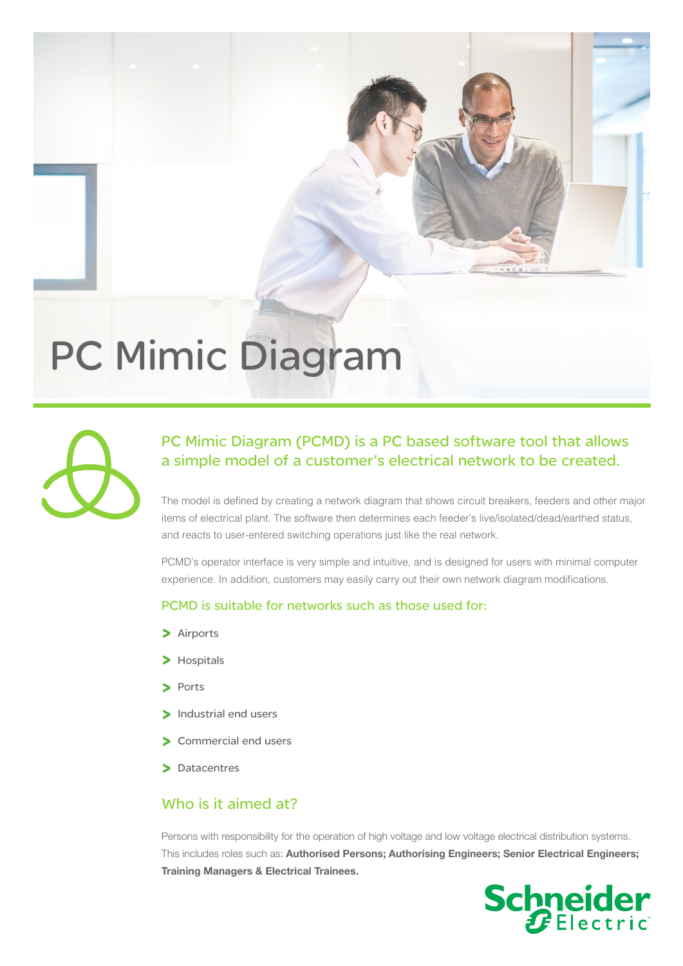# PC Mimic Diagram



# PC Mimic Diagram (PCMD) is a PC based software tool that allows a simple model of a customer's electrical network to be created.

The model is defined by creating a network diagram that shows circuit breakers, feeders and other major items of electrical plant. The software then determines each feeder's live/isolated/dead/earthed status, and reacts to user-entered switching operations just like the real network.

PCMD's operator interface is very simple and intuitive, and is designed for users with minimal computer experience. In addition, customers may easily carry out their own network diagram modifications.

#### PCMD is suitable for networks such as those used for:

- > Airports
- > Hospitals
- > Ports
- > Industrial end users
- > Commercial end users
- > Datacentres

#### Who is it aimed at?

Persons with responsibility for the operation of high voltage and low voltage electrical distribution systems. This includes roles such as: Authorised Persons; Authorising Engineers; Senior Electrical Engineers; Training Managers & Electrical Trainees.